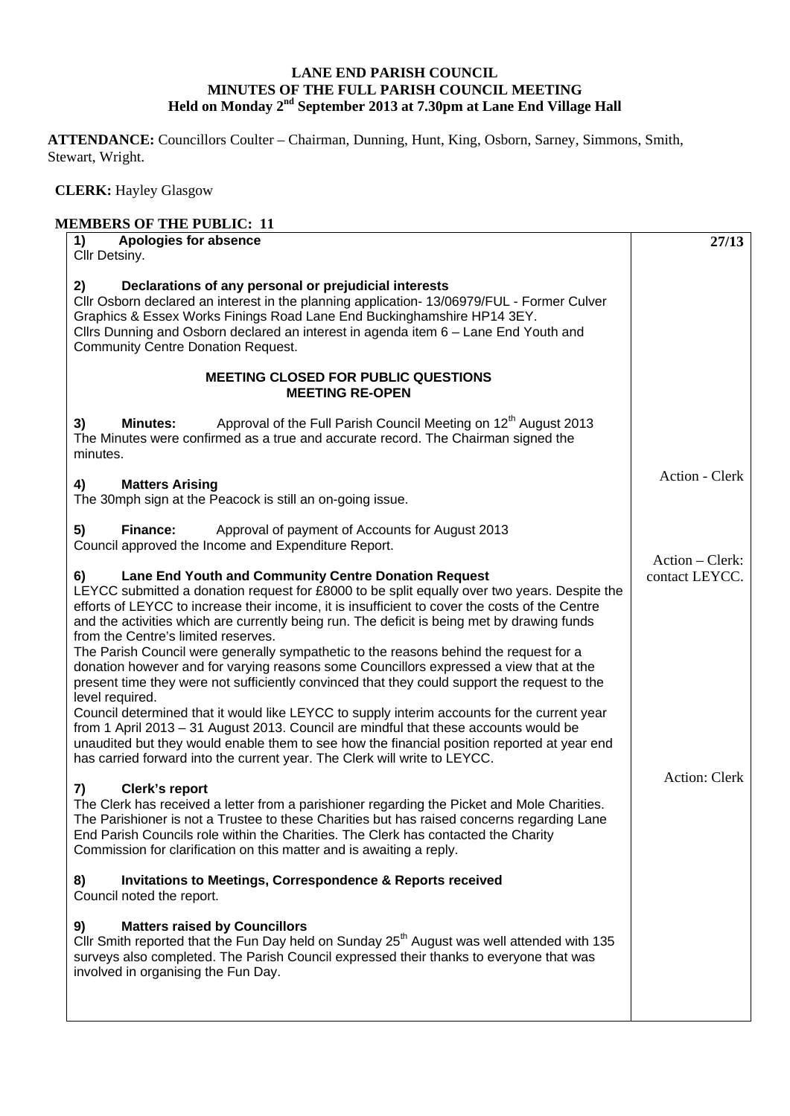## **LANE END PARISH COUNCIL MINUTES OF THE FULL PARISH COUNCIL MEETING Held on Monday 2nd September 2013 at 7.30pm at Lane End Village Hall**

**ATTENDANCE:** Councillors Coulter – Chairman, Dunning, Hunt, King, Osborn, Sarney, Simmons, Smith, Stewart, Wright.

 **CLERK:** Hayley Glasgow

| <b>MEMBERS OF THE PUBLIC: 11</b>                                                                                                                                                                                                                                                                                                                                                                   |                                   |
|----------------------------------------------------------------------------------------------------------------------------------------------------------------------------------------------------------------------------------------------------------------------------------------------------------------------------------------------------------------------------------------------------|-----------------------------------|
| Apologies for absence<br>1)<br>Cllr Detsiny.                                                                                                                                                                                                                                                                                                                                                       | 27/13                             |
| Declarations of any personal or prejudicial interests<br>2)<br>Cllr Osborn declared an interest in the planning application- 13/06979/FUL - Former Culver<br>Graphics & Essex Works Finings Road Lane End Buckinghamshire HP14 3EY.<br>Cllrs Dunning and Osborn declared an interest in agenda item 6 - Lane End Youth and<br><b>Community Centre Donation Request.</b>                            |                                   |
| <b>MEETING CLOSED FOR PUBLIC QUESTIONS</b><br><b>MEETING RE-OPEN</b>                                                                                                                                                                                                                                                                                                                               |                                   |
| Approval of the Full Parish Council Meeting on 12 <sup>th</sup> August 2013<br>3)<br><b>Minutes:</b><br>The Minutes were confirmed as a true and accurate record. The Chairman signed the<br>minutes.                                                                                                                                                                                              |                                   |
| <b>Matters Arising</b><br>4)<br>The 30mph sign at the Peacock is still an on-going issue.                                                                                                                                                                                                                                                                                                          | Action - Clerk                    |
| Approval of payment of Accounts for August 2013<br>5)<br>Finance:<br>Council approved the Income and Expenditure Report.                                                                                                                                                                                                                                                                           | Action – Clerk:<br>contact LEYCC. |
| Lane End Youth and Community Centre Donation Request<br>6)<br>LEYCC submitted a donation request for £8000 to be split equally over two years. Despite the<br>efforts of LEYCC to increase their income, it is insufficient to cover the costs of the Centre<br>and the activities which are currently being run. The deficit is being met by drawing funds<br>from the Centre's limited reserves. |                                   |
| The Parish Council were generally sympathetic to the reasons behind the request for a<br>donation however and for varying reasons some Councillors expressed a view that at the<br>present time they were not sufficiently convinced that they could support the request to the<br>level required.                                                                                                 |                                   |
| Council determined that it would like LEYCC to supply interim accounts for the current year<br>from 1 April 2013 - 31 August 2013. Council are mindful that these accounts would be<br>unaudited but they would enable them to see how the financial position reported at year end<br>has carried forward into the current year. The Clerk will write to LEYCC.                                    | Action: Clerk                     |
| <b>Clerk's report</b><br>7)<br>The Clerk has received a letter from a parishioner regarding the Picket and Mole Charities.<br>The Parishioner is not a Trustee to these Charities but has raised concerns regarding Lane<br>End Parish Councils role within the Charities. The Clerk has contacted the Charity<br>Commission for clarification on this matter and is awaiting a reply.             |                                   |
| <b>Invitations to Meetings, Correspondence &amp; Reports received</b><br>8)<br>Council noted the report.                                                                                                                                                                                                                                                                                           |                                   |
| <b>Matters raised by Councillors</b><br>9)<br>Cllr Smith reported that the Fun Day held on Sunday 25 <sup>th</sup> August was well attended with 135<br>surveys also completed. The Parish Council expressed their thanks to everyone that was<br>involved in organising the Fun Day.                                                                                                              |                                   |
|                                                                                                                                                                                                                                                                                                                                                                                                    |                                   |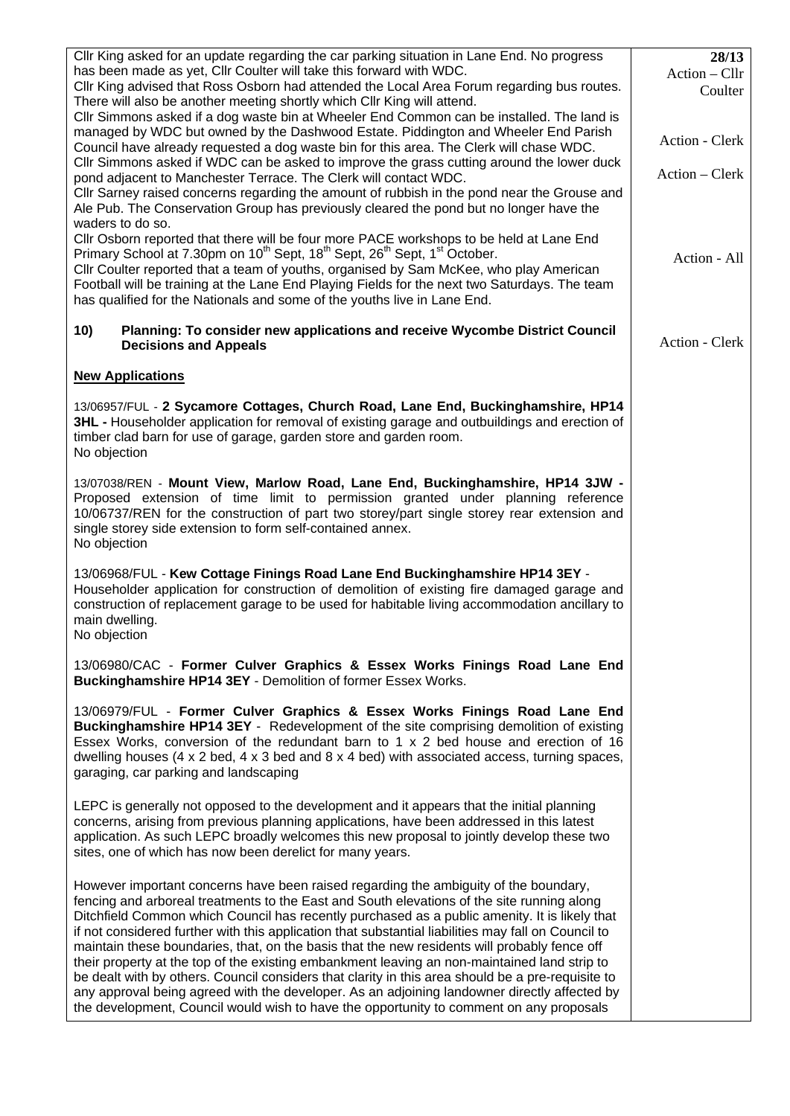| CIIr King asked for an update regarding the car parking situation in Lane End. No progress<br>has been made as yet, Cllr Coulter will take this forward with WDC.<br>Cllr King advised that Ross Osborn had attended the Local Area Forum regarding bus routes.<br>There will also be another meeting shortly which Cllr King will attend.<br>CIIr Simmons asked if a dog waste bin at Wheeler End Common can be installed. The land is<br>managed by WDC but owned by the Dashwood Estate. Piddington and Wheeler End Parish<br>Council have already requested a dog waste bin for this area. The Clerk will chase WDC.<br>Cllr Simmons asked if WDC can be asked to improve the grass cutting around the lower duck<br>pond adjacent to Manchester Terrace. The Clerk will contact WDC.<br>CIIr Sarney raised concerns regarding the amount of rubbish in the pond near the Grouse and<br>Ale Pub. The Conservation Group has previously cleared the pond but no longer have the<br>waders to do so. | 28/13<br>Action – Cllr<br>Coulter<br>Action - Clerk<br>Action – Clerk |
|--------------------------------------------------------------------------------------------------------------------------------------------------------------------------------------------------------------------------------------------------------------------------------------------------------------------------------------------------------------------------------------------------------------------------------------------------------------------------------------------------------------------------------------------------------------------------------------------------------------------------------------------------------------------------------------------------------------------------------------------------------------------------------------------------------------------------------------------------------------------------------------------------------------------------------------------------------------------------------------------------------|-----------------------------------------------------------------------|
| Cllr Osborn reported that there will be four more PACE workshops to be held at Lane End<br>Primary School at 7.30pm on 10 <sup>th</sup> Sept, 18 <sup>th</sup> Sept, 26 <sup>th</sup> Sept, 1 <sup>st</sup> October.<br>Cllr Coulter reported that a team of youths, organised by Sam McKee, who play American<br>Football will be training at the Lane End Playing Fields for the next two Saturdays. The team<br>has qualified for the Nationals and some of the youths live in Lane End.                                                                                                                                                                                                                                                                                                                                                                                                                                                                                                            | Action - All                                                          |
| 10)<br>Planning: To consider new applications and receive Wycombe District Council<br><b>Decisions and Appeals</b>                                                                                                                                                                                                                                                                                                                                                                                                                                                                                                                                                                                                                                                                                                                                                                                                                                                                                     | Action - Clerk                                                        |
| <b>New Applications</b>                                                                                                                                                                                                                                                                                                                                                                                                                                                                                                                                                                                                                                                                                                                                                                                                                                                                                                                                                                                |                                                                       |
| 13/06957/FUL - 2 Sycamore Cottages, Church Road, Lane End, Buckinghamshire, HP14<br>3HL - Householder application for removal of existing garage and outbuildings and erection of<br>timber clad barn for use of garage, garden store and garden room.<br>No objection                                                                                                                                                                                                                                                                                                                                                                                                                                                                                                                                                                                                                                                                                                                                 |                                                                       |
| 13/07038/REN - Mount View, Marlow Road, Lane End, Buckinghamshire, HP14 3JW -<br>Proposed extension of time limit to permission granted under planning reference<br>10/06737/REN for the construction of part two storey/part single storey rear extension and<br>single storey side extension to form self-contained annex.<br>No objection                                                                                                                                                                                                                                                                                                                                                                                                                                                                                                                                                                                                                                                           |                                                                       |
| 13/06968/FUL - Kew Cottage Finings Road Lane End Buckinghamshire HP14 3EY -<br>Householder application for construction of demolition of existing fire damaged garage and<br>construction of replacement garage to be used for habitable living accommodation ancillary to<br>main dwelling.<br>No objection                                                                                                                                                                                                                                                                                                                                                                                                                                                                                                                                                                                                                                                                                           |                                                                       |
| 13/06980/CAC - Former Culver Graphics & Essex Works Finings Road Lane End<br>Buckinghamshire HP14 3EY - Demolition of former Essex Works.                                                                                                                                                                                                                                                                                                                                                                                                                                                                                                                                                                                                                                                                                                                                                                                                                                                              |                                                                       |
| 13/06979/FUL - Former Culver Graphics & Essex Works Finings Road Lane End<br>Buckinghamshire HP14 3EY - Redevelopment of the site comprising demolition of existing<br>Essex Works, conversion of the redundant barn to 1 x 2 bed house and erection of 16<br>dwelling houses (4 x 2 bed, 4 x 3 bed and 8 x 4 bed) with associated access, turning spaces,<br>garaging, car parking and landscaping                                                                                                                                                                                                                                                                                                                                                                                                                                                                                                                                                                                                    |                                                                       |
| LEPC is generally not opposed to the development and it appears that the initial planning<br>concerns, arising from previous planning applications, have been addressed in this latest<br>application. As such LEPC broadly welcomes this new proposal to jointly develop these two<br>sites, one of which has now been derelict for many years.                                                                                                                                                                                                                                                                                                                                                                                                                                                                                                                                                                                                                                                       |                                                                       |
| However important concerns have been raised regarding the ambiguity of the boundary,<br>fencing and arboreal treatments to the East and South elevations of the site running along<br>Ditchfield Common which Council has recently purchased as a public amenity. It is likely that<br>if not considered further with this application that substantial liabilities may fall on Council to<br>maintain these boundaries, that, on the basis that the new residents will probably fence off<br>their property at the top of the existing embankment leaving an non-maintained land strip to<br>be dealt with by others. Council considers that clarity in this area should be a pre-requisite to<br>any approval being agreed with the developer. As an adjoining landowner directly affected by<br>the development, Council would wish to have the opportunity to comment on any proposals                                                                                                             |                                                                       |